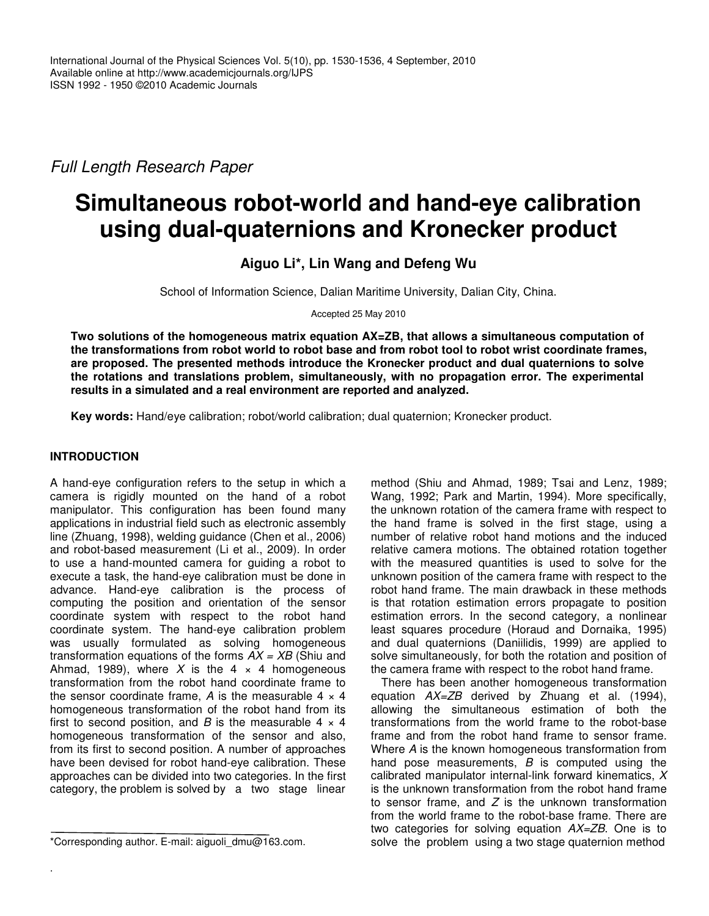*Full Length Research Paper*

# **Simultaneous robot-world and hand-eye calibration using dual-quaternions and Kronecker product**

**Aiguo Li\*, Lin Wang and Defeng Wu**

School of Information Science, Dalian Maritime University, Dalian City, China.

Accepted 25 May 2010

**Two solutions of the homogeneous matrix equation AX=ZB, that allows a simultaneous computation of the transformations from robot world to robot base and from robot tool to robot wrist coordinate frames, are proposed. The presented methods introduce the Kronecker product and dual quaternions to solve the rotations and translations problem, simultaneously, with no propagation error. The experimental results in a simulated and a real environment are reported and analyzed.**

**Key words:** Hand/eye calibration; robot/world calibration; dual quaternion; Kronecker product.

# **INTRODUCTION**

.

A hand-eye configuration refers to the setup in which a camera is rigidly mounted on the hand of a robot manipulator. This configuration has been found many applications in industrial field such as electronic assembly line (Zhuang, 1998), welding guidance (Chen et al., 2006) and robot-based measurement (Li et al., 2009). In order to use a hand-mounted camera for guiding a robot to execute a task, the hand-eye calibration must be done in advance. Hand-eye calibration is the process of computing the position and orientation of the sensor coordinate system with respect to the robot hand coordinate system. The hand-eye calibration problem was usually formulated as solving homogeneous transformation equations of the forms *AX = XB* (Shiu and Ahmad, 1989), where  $X$  is the 4  $\times$  4 homogeneous transformation from the robot hand coordinate frame to the sensor coordinate frame, A is the measurable  $4 \times 4$ homogeneous transformation of the robot hand from its first to second position, and *B* is the measurable  $4 \times 4$ homogeneous transformation of the sensor and also, from its first to second position. A number of approaches have been devised for robot hand-eye calibration. These approaches can be divided into two categories. In the first category, the problem is solved by a two stage linear

method (Shiu and Ahmad, 1989; Tsai and Lenz, 1989; Wang, 1992; Park and Martin, 1994). More specifically, the unknown rotation of the camera frame with respect to the hand frame is solved in the first stage, using a number of relative robot hand motions and the induced relative camera motions. The obtained rotation together with the measured quantities is used to solve for the unknown position of the camera frame with respect to the robot hand frame. The main drawback in these methods is that rotation estimation errors propagate to position estimation errors. In the second category, a nonlinear least squares procedure (Horaud and Dornaika, 1995) and dual quaternions (Daniilidis, 1999) are applied to solve simultaneously, for both the rotation and position of the camera frame with respect to the robot hand frame.

There has been another homogeneous transformation equation *AX=ZB* derived by Zhuang et al. (1994), allowing the simultaneous estimation of both the transformations from the world frame to the robot-base frame and from the robot hand frame to sensor frame. Where *A* is the known homogeneous transformation from hand pose measurements, *B* is computed using the calibrated manipulator internal-link forward kinematics, *X* is the unknown transformation from the robot hand frame to sensor frame, and *Z* is the unknown transformation from the world frame to the robot-base frame. There are two categories for solving equation *AX=ZB*. One is to solve the problem using a two stage quaternion method

<sup>\*</sup>Corresponding author. E-mail: aiguoli\_dmu@163.com.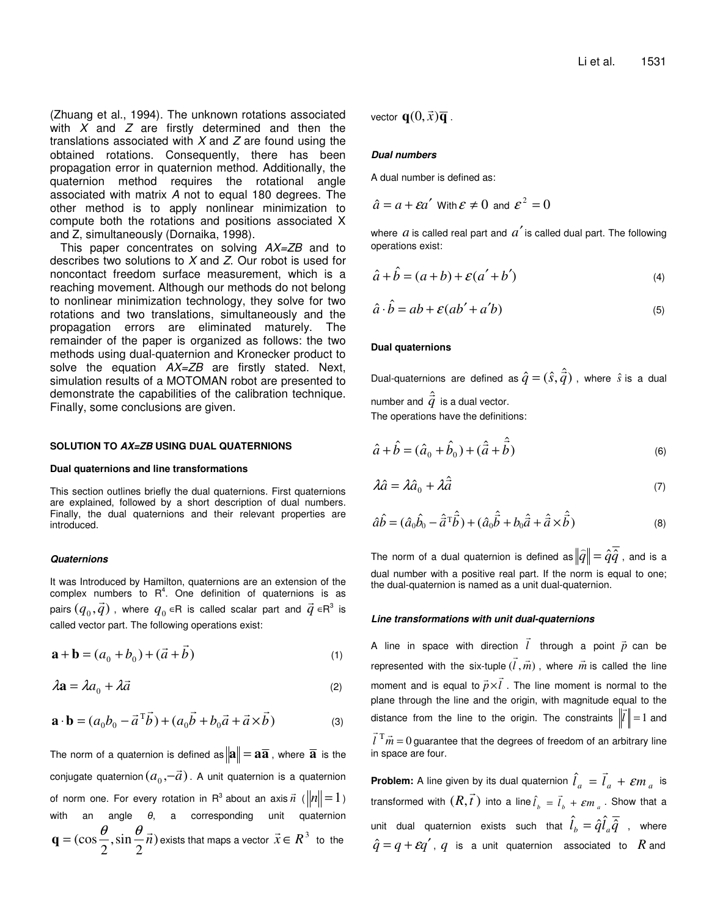(Zhuang et al., 1994). The unknown rotations associated with *X* and *Z* are firstly determined and then the translations associated with *X* and *Z* are found using the obtained rotations. Consequently, there has been propagation error in quaternion method. Additionally, the quaternion method requires the rotational angle associated with matrix *A* not to equal 180 degrees. The other method is to apply nonlinear minimization to compute both the rotations and positions associated X and Z, simultaneously (Dornaika, 1998).

This paper concentrates on solving *AX=ZB* and to describes two solutions to *X* and *Z*. Our robot is used for noncontact freedom surface measurement, which is a reaching movement. Although our methods do not belong to nonlinear minimization technology, they solve for two rotations and two translations, simultaneously and the propagation errors are eliminated maturely. The remainder of the paper is organized as follows: the two methods using dual-quaternion and Kronecker product to solve the equation *AX=ZB* are firstly stated. Next, simulation results of a MOTOMAN robot are presented to demonstrate the capabilities of the calibration technique. Finally, some conclusions are given.

#### **SOLUTION TO** *AX=ZB* **USING DUAL QUATERNIONS**

#### **Dual quaternions and line transformations**

This section outlines briefly the dual quaternions. First quaternions are explained, followed by a short description of dual numbers. Finally, the dual quaternions and their relevant properties are introduced.

#### *Quaternions*

It was Introduced by Hamilton, quaternions are an extension of the complex numbers to  $R^4$ . One definition of quaternions is as pairs  $(q_0, \vec{q})$  , where  $q_0$   $\in$ R is called scalar part and  $\vec{q}$   $\in$ R $^3$  is called vector part. The following operations exist:

$$
\mathbf{a} + \mathbf{b} = (a_0 + b_0) + (\vec{a} + \vec{b})
$$
 (1)

$$
\lambda \mathbf{a} = \lambda a_0 + \lambda \vec{a} \tag{2}
$$

$$
\mathbf{a} \cdot \mathbf{b} = (a_0 b_0 - \vec{a}^T \vec{b}) + (a_0 \vec{b} + b_0 \vec{a} + \vec{a} \times \vec{b})
$$
 (3)

The norm of a quaternion is defined as  $\|\mathbf{a}\| = \mathbf{a}\overline{\mathbf{a}}$ , where  $\overline{\mathbf{a}}$  is the conjugate quaternion  $( a_0 , = \vec{a} )$  $\rightarrow$  $-\vec{a}$ ). A unit quaternion is a quaternion of norm one. For every rotation in  $R^3$  about an axis  $\vec{n}$  $\vec{n}$  ( $\|\vec{n}\|$ =1) with an angle  $\theta$ , a corresponding unit quaternion ) 2 ,sin 2  $(\cos \frac{\theta}{2}, \sin \frac{\theta}{2} \vec{n})$  $\theta$   $\theta$  - $\mathbf{q} = (\cos \frac{\mathbf{v}}{\mathbf{z}}, \sin \frac{\mathbf{v}}{\mathbf{z}} \vec{n})$  exists that maps a vector  $\vec{x} \in \mathbb{R}^3$  $\rightarrow$ to the

vector  $\mathbf{q}(0,\vec{x})\overline{\mathbf{q}}$  $\rightarrow$ .

#### *Dual numbers*

A dual number is defined as:

 $\hat{a} = a + \varepsilon a'$  With  $\varepsilon \neq 0$  and  $\varepsilon^2 = 0$ 

where  $a$  is called real part and  $a'$  is called dual part. The following operations exist:

$$
\hat{a} + \hat{b} = (a+b) + \varepsilon (a'+b')
$$
\n(4)

$$
\hat{a} \cdot \hat{b} = ab + \mathcal{E}(ab' + a'b)
$$
\n<sup>(5)</sup>

#### **Dual quaternions**

Dual-quaternions are defined as  $\hat{q} = (\hat{s}, \hat{\vec{q}})$  $= (\hat{s}, \vec{q}\,)$  , where  $\hat{s}$  is a dual number and  $\hat{\vec{q}}$ is a dual vector. The operations have the definitions:

 $\hat{z}$   $\hat{z}$ 

$$
\hat{a} + \hat{b} = (\hat{a}_0 + \hat{b}_0) + (\hat{\vec{a}} + \hat{\vec{b}})
$$
 (6)

$$
\lambda \hat{a} = \lambda \hat{a}_0 + \lambda \hat{\vec{a}} \tag{7}
$$

$$
\hat{a}\hat{b} = (\hat{a}_0\hat{b}_0 - \hat{\vec{a}}^{\mathrm{T}}\hat{\vec{b}}) + (\hat{a}_0\hat{\vec{b}} + b_0\hat{\vec{a}} + \hat{\vec{a}} \times \hat{\vec{b}})
$$
(8)

The norm of a dual quaternion is defined as  $\|\widehat{q}\|$   $=$   $\hat{q}\hat{q}$  $\widehat{q}\Vert = \hat{q}\overline{\hat{q}}$  , and is a dual number with a positive real part. If the norm is equal to one; the dual-quaternion is named as a unit dual-quaternion.

#### *Line transformations with unit dual-quaternions*

A line in space with direction *l* through a point  $\vec{p}$ n  $\vec{l}$  through a point  $\vec{p}$  can be represented with the six-tuple (*l* , *m*)  $\overline{a}$ , where *m*  $\vec{n}$  is called the line moment and is equal to  $\vec{p} \times \vec{l}$  $\frac{10}{7}$  $\times l$  . The line moment is normal to the plane through the line and the origin, with magnitude equal to the<br>" distance from the line to the origin. The constraints  $||l|| = 1$  and  $\vec{l}$ <sup>T</sup> $\vec{m}$  = 0  $\vec{r}$  T  $\rightarrow$ guarantee that the degrees of freedom of an arbitrary line in space are four.

 $\overline{a}$ 

**Problem:** A line given by its dual quaternion  $\hat{l}_a = l_a + \varepsilon m_a$  $\overline{\phantom{a}}$  $\hat{l}_a = \vec{l}_a + \varepsilon m_a$  is transformed with  $(R,\vec{t}\,)$  into a line  $\hat{l}_{\scriptscriptstyle b}$  =  $\vec{l}_{\scriptscriptstyle b}$  +  $\varepsilon m_{\scriptscriptstyle a}$  $\ddot{\phantom{0}}$  $\hat{l}_{\mu} = \vec{l}_{\mu} + \varepsilon m_{\mu}$ . Show that a unit dual quaternion exists such that  $\hat l_b^{}=\hat q\hat l_a^{}\bar{\hat q}^{}$  , where  $\hat{q} = q + \varepsilon q'$ , *q* is a unit quaternion associated to *R* and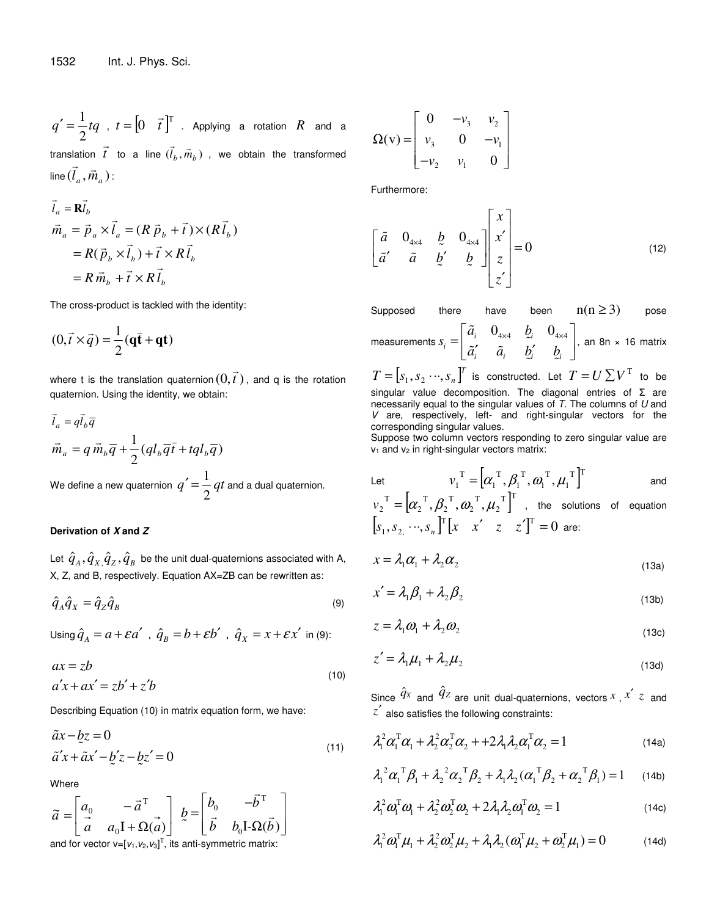$q' = \frac{1}{2}tq$ 2  $\vec{r} = \frac{1}{2} t q$ ,  $t = \begin{bmatrix} 0 & \vec{t} \end{bmatrix}^T$  $\overline{\phantom{a}}$  $\begin{bmatrix} 0 & \vec{t} \end{bmatrix}^{\prime}$  . Applying a rotation  $R$  and a translation  $\vec{t}$  to a line  $(\vec{l}_b, \vec{m}_b)$  $\overline{\phantom{a}}$  $\overline{z}$   $\overline{z}$ lation  $t$  to a line  $(l_b,m_b)$  , we obtain the transformed<br> $\rightarrow$  $\lim_{a} (l_a, \vec{m}_a)$  $\rightarrow$ :

$$
\vec{l}_a = \mathbf{R}\vec{l}_b
$$
\n
$$
\vec{m}_a = \vec{p}_a \times \vec{l}_a = (R \vec{p}_b + \vec{t}) \times (R \vec{l}_b)
$$
\n
$$
= R(\vec{p}_b \times \vec{l}_b) + \vec{t} \times R \vec{l}_b
$$
\n
$$
= R \vec{m}_b + \vec{t} \times R \vec{l}_b
$$

The cross-product is tackled with the identity:

$$
(0,\vec{t}\times\vec{q})=\frac{1}{2}(\mathbf{q}\bar{\mathbf{t}}+\mathbf{q}\mathbf{t})
$$

where t is the translation quaternion  $(0,\vec{t}\,)$ , and q is the rotation quaternion. Using the identity, we obtain:

 $\overline{a}$ 

$$
\vec{l}_a = q\vec{l}_b \overline{q}
$$
\n
$$
\vec{m}_a = q \vec{m}_b \overline{q} + \frac{1}{2} (q l_b \overline{q} \vec{t} + t q l_b \overline{q})
$$
\nWe define a new quaternion  $q' = \frac{1}{2} qt$  and a dual quaternion.

#### **Derivation of** *X* **and** *Z*

Let  $\, \hat{q}_{{}_A}, \hat{q}_{{}_X}, \hat{q}_{{}_Z}, \hat{q}_{{}_B} \,$  be the unit dual-quaternions associated with A, X, Z, and B, respectively. Equation AX=ZB can be rewritten as:

$$
\hat{q}_A \hat{q}_X = \hat{q}_Z \hat{q}_B \tag{9}
$$

Using  $\hat{q}_A = a + \varepsilon a'$  ,  $\hat{q}_B = b + \varepsilon b'$  ,  $\hat{q}_X = x + \varepsilon x'$  in (9):

$$
ax = zb
$$
  
\n
$$
a'x + ax' = zb' + z'b
$$
\n(10)

Describing Equation (10) in matrix equation form, we have:

$$
\tilde{a}x - bz = 0
$$
  
\n
$$
\tilde{a}'x + \tilde{a}x' - b'z - bz' = 0
$$
\n(11)

Where

where  
\n
$$
\widetilde{a} = \begin{bmatrix} a_0 & -\vec{a}^T \\ \vec{a} & a_0 \vec{I} + \Omega(\vec{a}) \end{bmatrix} \; \not{b} = \begin{bmatrix} b_0 & -\vec{b}^T \\ \vec{b} & b_0 \vec{I} \cdot \Omega(\vec{b}) \end{bmatrix}
$$

and for vector  $v=[v_1,v_2,v_3]^T$ , its anti-symmetric matrix:

$$
\Omega(v) = \begin{bmatrix} 0 & -v_3 & v_2 \\ v_3 & 0 & -v_1 \\ -v_2 & v_1 & 0 \end{bmatrix}
$$

Furthermore:

$$
\begin{bmatrix} \tilde{a} & 0_{4\times 4} & \tilde{b} & 0_{4\times 4} \\ \tilde{a}' & \tilde{a} & \tilde{b}' & \tilde{b} \end{bmatrix} \begin{bmatrix} x \\ x' \\ z \\ z' \end{bmatrix} = 0 \tag{12}
$$

Supposed there have been  $n(n \ge 3)$  pose measurements  $s_i = \begin{vmatrix} \tilde{a}_i & 0_{4\times4} & b_i & 0_{4\times4} \ \tilde{a}_i & \tilde{a}_i & \tilde{a}_i & \tilde{a}_i \end{vmatrix}$ *i i*  $u_i$   $u_i$   $u_i$  $\tilde{a}_{i}$   $0_{4\times4}$   $b_{i}$ *s*  $\tilde{a}'_i$   $\tilde{a}_i$  **b** *b b*  $\begin{bmatrix}\tilde{a}_i & 0_{_{4\times4}} & b_i & 0_{_{4\times4}}\end{bmatrix}$  $=\begin{bmatrix} \ddots & \ddots & \ddots & \ddots \\ \tilde{a}'_i & \tilde{a}_i & \tilde{b}'_i & \tilde{b}_i \end{bmatrix}$  $\tilde{a}$ ž<br>.  $\tilde{a}'$   $\tilde{a}$  $\approx$ i  $\approx$ , an 8n × 16 matrix

 $T = \left[ {{s_1},{s_2} \cdots ,{s_n}} \right]^T$  is constructed. Let  $T = U\sum {V^{\rm{T}}}$  to be singular value decomposition. The diagonal entries of  $\Sigma$  are necessarily equal to the singular values of *T*. The columns of *U* and *V* are, respectively, left- and right-singular vectors for the corresponding singular values.

Suppose two column vectors responding to zero singular value are  $v_1$  and  $v_2$  in right-singular vectors matrix:

Let 
$$
v_1^T = [\alpha_1^T, \beta_1^T, \omega_1^T, \mu_1^T]^T \text{ and}
$$

$$
v_2^T = [\alpha_2^T, \beta_2^T, \omega_2^T, \mu_2^T]^T, \text{ the solutions of equation}
$$

$$
[s_1, s_2, \dots, s_n]^T [x \ x' \ z \ z']^T = 0 \text{ are:}
$$

$$
x = \lambda_1 \alpha_1 + \lambda_2 \alpha_2 \tag{13a}
$$

$$
x' = \lambda_1 \beta_1 + \lambda_2 \beta_2 \tag{13b}
$$

$$
z = \lambda_1 \omega_1 + \lambda_2 \omega_2 \tag{13c}
$$

$$
z' = \lambda_1 \mu_1 + \lambda_2 \mu_2 \tag{13d}
$$

Since  $\hat{q}_x$  and  $\hat{q}_z$  are unit dual-quaternions, vectors  $^x$  ,  $^{x'}$   $z$  and *z*′ also satisfies the following constraints:

$$
\lambda_1^2 \alpha_1^{\mathrm{T}} \alpha_1 + \lambda_2^2 \alpha_2^{\mathrm{T}} \alpha_2 + 2\lambda_1 \lambda_2 \alpha_1^{\mathrm{T}} \alpha_2 = 1 \tag{14a}
$$

$$
\lambda_1^2 \alpha_1^T \beta_1 + \lambda_2^2 \alpha_2^T \beta_2 + \lambda_1 \lambda_2 (\alpha_1^T \beta_2 + \alpha_2^T \beta_1) = 1 \quad (14b)
$$

$$
\lambda_1^2 \omega_1^{\mathrm{T}} \omega_1 + \lambda_2^2 \omega_2^{\mathrm{T}} \omega_2 + 2 \lambda_1 \lambda_2 \omega_1^{\mathrm{T}} \omega_2 = 1 \tag{14c}
$$

$$
\lambda_1^2 \omega_1^T \mu_1 + \lambda_2^2 \omega_2^T \mu_2 + \lambda_1 \lambda_2 (\omega_1^T \mu_2 + \omega_2^T \mu_1) = 0 \tag{14d}
$$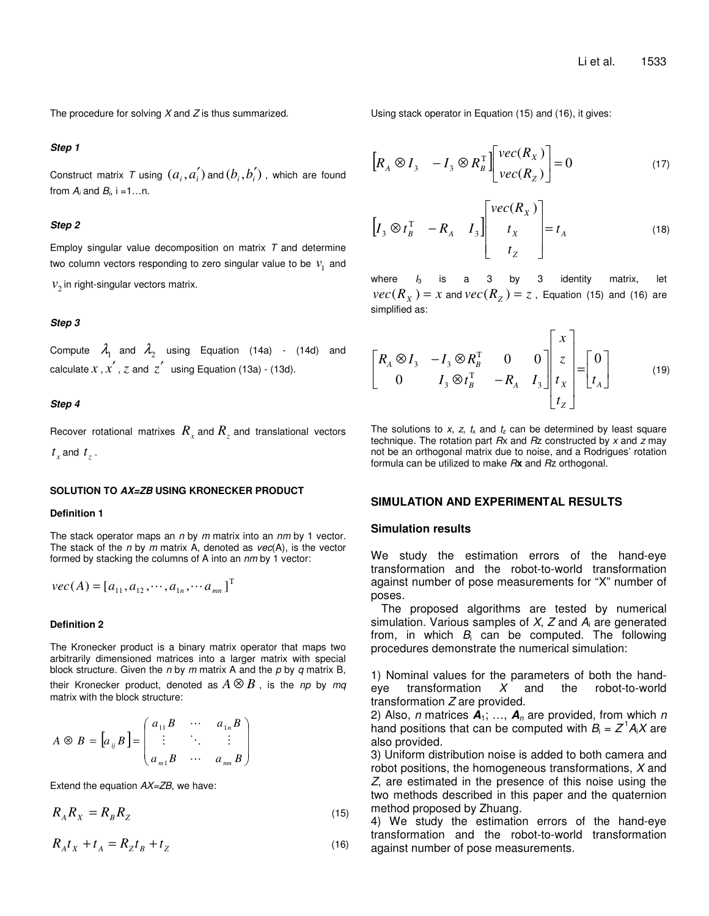The procedure for solving *X* and *Z* is thus summarized.

## *Step 1*

Construct matrix *T* using  $(a_i, a_i^{'})$  and  $(b_i, b_i^{'})$  , which are found from  $A_i$  and  $B_i$ , i =1...n.

#### *Step 2*

Employ singular value decomposition on matrix *T* and determine two column vectors responding to zero singular value to be  $v_1^{\dagger}$  and  $v_2$  in right-singular vectors matrix.

#### *Step 3*

Compute  $\lambda_1$  and  $\lambda_2$  using Equation (14a) - (14d) and calculate  $x$ ,  $x'$ ,  $z$  and  $z'$  using Equation (13a) - (13d).

#### *Step 4*

Recover rotational matrixes  $R_{_X}$  and  $R_{_Z}$  and translational vectors  $t_x$  and  $t_z$ .

#### **SOLUTION TO** *AX=ZB* **USING KRONECKER PRODUCT**

## **Definition 1**

The stack operator maps an *n* by *m* matrix into an *nm* by 1 vector. The stack of the *n* by *m* matrix A, denoted as *vec*(A), is the vector formed by stacking the columns of A into an *nm* by 1 vector:

$$
vec(A) = [a_{11}, a_{12}, \cdots, a_{1n}, \cdots, a_{nn}]^{T}
$$

## **Definition 2**

The Kronecker product is a binary matrix operator that maps two arbitrarily dimensioned matrices into a larger matrix with special block structure. Given the *n* by *m* matrix A and the *p* by *q* matrix B, their Kronecker product, denoted as  $A \otimes B$ , is the *np* by mq matrix with the block structure:

$$
A \otimes B = [a_{ij} B] = \begin{pmatrix} a_{11} B & \cdots & a_{1n} B \\ \vdots & \ddots & \vdots \\ a_{m1} B & \cdots & a_{mn} B \end{pmatrix}
$$

Extend the equation *AX=ZB*, we have:

$$
R_A R_X = R_B R_Z \tag{15}
$$

$$
R_A t_X + t_A = R_Z t_B + t_Z
$$
\n<sup>(16)</sup>

Using stack operator in Equation (15) and (16), it gives:

$$
\begin{bmatrix} R_A \otimes I_3 & -I_3 \otimes R_B^{\mathrm{T}} \end{bmatrix} \begin{bmatrix} \text{vec}(R_X) \\ \text{vec}(R_Z) \end{bmatrix} = 0 \tag{17}
$$

$$
\begin{bmatrix} I_3 \otimes t_B^{\mathrm{T}} & -R_A & I_3 \end{bmatrix} \begin{bmatrix} vec(R_X) \\ t_X \\ t_Z \end{bmatrix} = t_A \tag{18}
$$

where  $I_3$  is a 3 by 3 identity matrix, let  $\textit{vec}(R_\chi^-) = x$  and  $\textit{vec}(R_\chi^-) = z$  , Equation (15) and (16) are simplified as:

$$
\begin{bmatrix} R_A \otimes I_3 & -I_3 \otimes R_B^{\mathrm{T}} & 0 & 0 \ 0 & I_3 \otimes t_B^{\mathrm{T}} & -R_A & I_3 \end{bmatrix} \begin{bmatrix} x \\ z \\ t_x \\ t_z \end{bmatrix} = \begin{bmatrix} 0 \\ t_A \end{bmatrix}
$$
(19)

The solutions to  $x$ ,  $z$ ,  $t_x$  and  $t_z$  can be determined by least square technique. The rotation part *R*x and *R*z constructed by *x* and *z* may not be an orthogonal matrix due to noise, and a Rodrigues' rotation formula can be utilized to make *R***x** and *R*z orthogonal.

## **SIMULATION AND EXPERIMENTAL RESULTS**

## **Simulation results**

We study the estimation errors of the hand-eye transformation and the robot-to-world transformation against number of pose measurements for "X" number of poses.

The proposed algorithms are tested by numerical simulation. Various samples of *X*, *Z* and *A*<sup>i</sup> are generated from, in which *B*<sup>i</sup> can be computed. The following procedures demonstrate the numerical simulation:

1) Nominal values for the parameters of both the handeye transformation *X* and the robot-to-world transformation *Z* are provided.

2) Also, *n* matrices *A*1; …, *A<sup>n</sup>* are provided, from which *n* hand positions that can be computed with  $B_i = Z^1 A_i X$  are also provided.

3) Uniform distribution noise is added to both camera and robot positions, the homogeneous transformations, *X* and *Z*, are estimated in the presence of this noise using the two methods described in this paper and the quaternion method proposed by Zhuang.

4) We study the estimation errors of the hand-eye transformation and the robot-to-world transformation against number of pose measurements.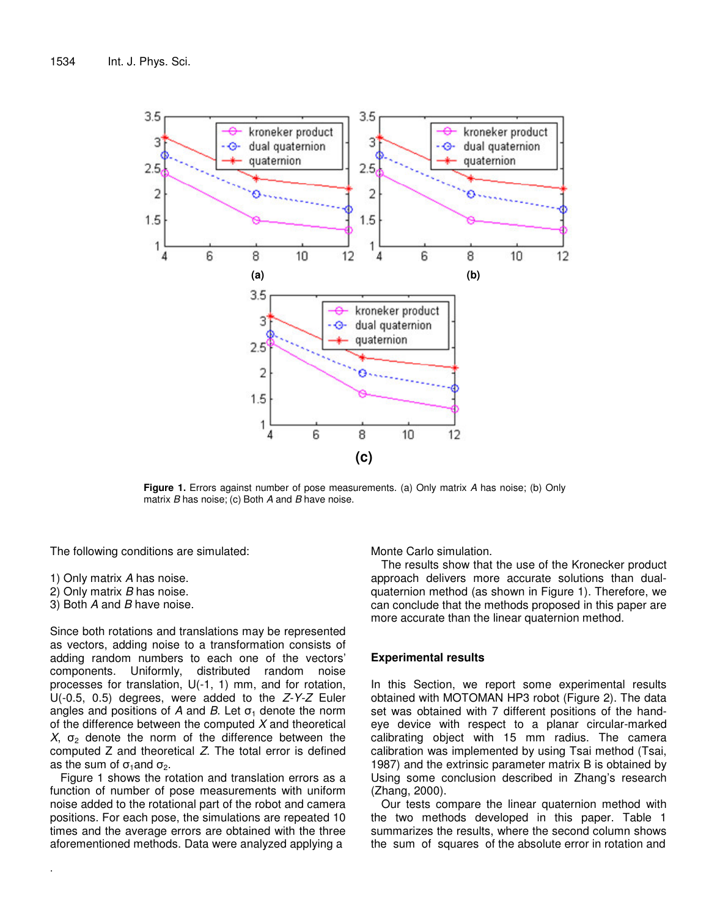

**Figure 1.** Errors against number of pose measurements. (a) Only matrix *A* has noise; (b) Only matrix *B* has noise; (c) Both *A* and *B* have noise.

The following conditions are simulated:

- 1) Only matrix *A* has noise.
- 2) Only matrix *B* has noise.
- 3) Both *A* and *B* have noise.

.

Since both rotations and translations may be represented as vectors, adding noise to a transformation consists of adding random numbers to each one of the vectors' components. Uniformly, distributed random noise processes for translation, U(-1, 1) mm, and for rotation, U(-0.5, 0.5) degrees, were added to the *Z-Y-Z* Euler angles and positions of  $A$  and  $B$ . Let  $\sigma_1$  denote the norm of the difference between the computed *X* and theoretical  $X$ ,  $\sigma$ <sub>2</sub> denote the norm of the difference between the computed Z and theoretical *Z*. The total error is defined as the sum of  $\sigma_1$  and  $\sigma_2$ .

Figure 1 shows the rotation and translation errors as a function of number of pose measurements with uniform noise added to the rotational part of the robot and camera positions. For each pose, the simulations are repeated 10 times and the average errors are obtained with the three aforementioned methods. Data were analyzed applying a

Monte Carlo simulation.

The results show that the use of the Kronecker product approach delivers more accurate solutions than dualquaternion method (as shown in Figure 1). Therefore, we can conclude that the methods proposed in this paper are more accurate than the linear quaternion method.

# **Experimental results**

In this Section, we report some experimental results obtained with MOTOMAN HP3 robot (Figure 2). The data set was obtained with 7 different positions of the handeye device with respect to a planar circular-marked calibrating object with 15 mm radius. The camera calibration was implemented by using Tsai method (Tsai, 1987) and the extrinsic parameter matrix B is obtained by Using some conclusion described in Zhang's research (Zhang, 2000).

Our tests compare the linear quaternion method with the two methods developed in this paper. Table 1 summarizes the results, where the second column shows the sum of squares of the absolute error in rotation and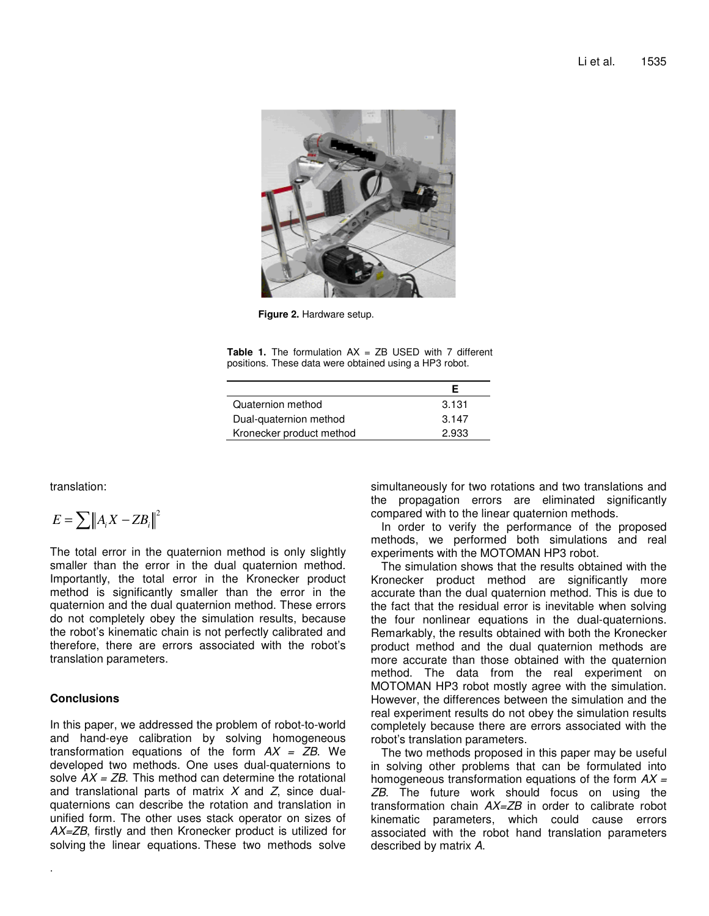

**Figure 2.** Hardware setup.

**Table 1.** The formulation AX = ZB USED with 7 different positions. These data were obtained using a HP3 robot.

| Quaternion method        | 3.131 |
|--------------------------|-------|
| Dual-quaternion method   | 3.147 |
| Kronecker product method | 2.933 |

translation:

$$
E = \sum \|A_i X - Z B_i\|^2
$$

The total error in the quaternion method is only slightly smaller than the error in the dual quaternion method. Importantly, the total error in the Kronecker product method is significantly smaller than the error in the quaternion and the dual quaternion method. These errors do not completely obey the simulation results, because the robot's kinematic chain is not perfectly calibrated and therefore, there are errors associated with the robot's translation parameters.

# **Conclusions**

.

In this paper, we addressed the problem of robot-to-world and hand-eye calibration by solving homogeneous transformation equations of the form *AX = ZB*. We developed two methods. One uses dual-quaternions to solve *AX = ZB*. This method can determine the rotational and translational parts of matrix *X* and *Z*, since dualquaternions can describe the rotation and translation in unified form. The other uses stack operator on sizes of *AX=ZB*, firstly and then Kronecker product is utilized for solving the linear equations. These two methods solve

simultaneously for two rotations and two translations and the propagation errors are eliminated significantly compared with to the linear quaternion methods.

In order to verify the performance of the proposed methods, we performed both simulations and real experiments with the MOTOMAN HP3 robot.

The simulation shows that the results obtained with the Kronecker product method are significantly more accurate than the dual quaternion method. This is due to the fact that the residual error is inevitable when solving the four nonlinear equations in the dual-quaternions. Remarkably, the results obtained with both the Kronecker product method and the dual quaternion methods are more accurate than those obtained with the quaternion method. The data from the real experiment on MOTOMAN HP3 robot mostly agree with the simulation. However, the differences between the simulation and the real experiment results do not obey the simulation results completely because there are errors associated with the robot's translation parameters.

The two methods proposed in this paper may be useful in solving other problems that can be formulated into homogeneous transformation equations of the form *AX = ZB*. The future work should focus on using the transformation chain *AX=ZB* in order to calibrate robot kinematic parameters, which could cause errors associated with the robot hand translation parameters described by matrix *A*.